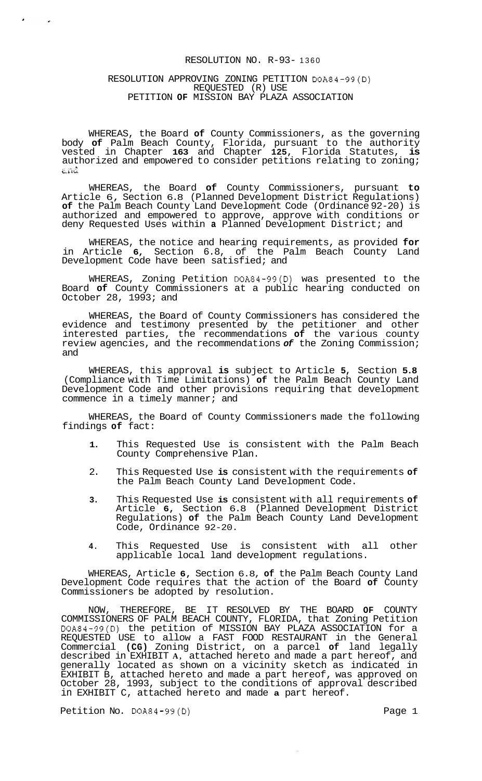## RESOLUTION NO. R-93- 1360

## RESOLUTION APPROVING ZONING PETITION DOA84-99(D) REQUESTED (R) USE PETITION **OF** MISSION BAY PLAZA ASSOCIATION

WHEREAS, the Board **of** County Commissioners, as the governing body **of** Palm Beach County, Florida, pursuant to the authority vested in Chapter **163** and Chapter **125,** Florida Statutes, **is**  authorized and empowered to consider petitions relating to zoning;<br>and

WHEREAS, the Board **of** County Commissioners, pursuant **to**  Article 6, Section 6.8 (Planned Development District Regulations) **of** the Palm Beach County Land Development Code (Ordinance 92-20) is authorized and empowered to approve, approve with conditions or deny Requested Uses within **a** Planned Development District; and

WHEREAS, the notice and hearing requirements, as provided **for**  in Article **6,** Section 6.8, of the Palm Beach County Land Development Code have been satisfied; and

WHEREAS, Zoning Petition DOA84-99(D) was presented to the Board **of** County Commissioners at a public hearing conducted on October 28,  $1993i$  and

WHEREAS, the Board of County Commissioners has considered the evidence and testimony presented by the petitioner and other interested parties, the recommendations **of** the various county review agencies, and the recommendations *of* the Zoning Commission; and

WHEREAS, this approval **is** subject to Article **5,** Section **5.8**  (Compliance with Time Limitations) **of** the Palm Beach County Land Development Code and other provisions requiring that development commence in a timely manner; and

WHEREAS, the Board of County Commissioners made the following findings **of** fact:

- **1.** This Requested Use is consistent with the Palm Beach County Comprehensive Plan.
- 2. This Requested Use **is** consistent with the requirements **of**  the Palm Beach County Land Development Code.
- **3.** This Requested Use **is** consistent with all requirements **of**  Article **6,** Section 6.8 (Planned Development District Regulations) **of** the Palm Beach County Land Development Code, Ordinance 92-20.
- **4.** This Requested Use is consistent with all other applicable local land development regulations.

WHEREAS, Article **6,** Section 6.8, **of** the Palm Beach County Land Development Code requires that the action of the Board **of** County Commissioners be adopted by resolution.

NOW, THEREFORE, BE IT RESOLVED BY THE BOARD **OF** COUNTY COMMISSIONERS OF PALM BEACH COUNTY, FLORIDA, that Zoning Petition DOA84-99(D) the petition of MISSION BAY PLAZA ASSOCIATION for a REQUESTED USE to allow a FAST FOOD RESTAURANT in the General Commercial **(CG)** Zoning District, on a parcel **of** land legally described in EXHIBIT **A,** attached hereto and made a part hereof, and generally located as shown on a vicinity sketch as indicated in EXHIBIT B, attached hereto and made a part hereof, was approved on October 28, 1993, subject to the conditions of approval described in EXHIBIT C, attached hereto and made **a** part hereof.

Petition No. DOA84-99(D) Page 1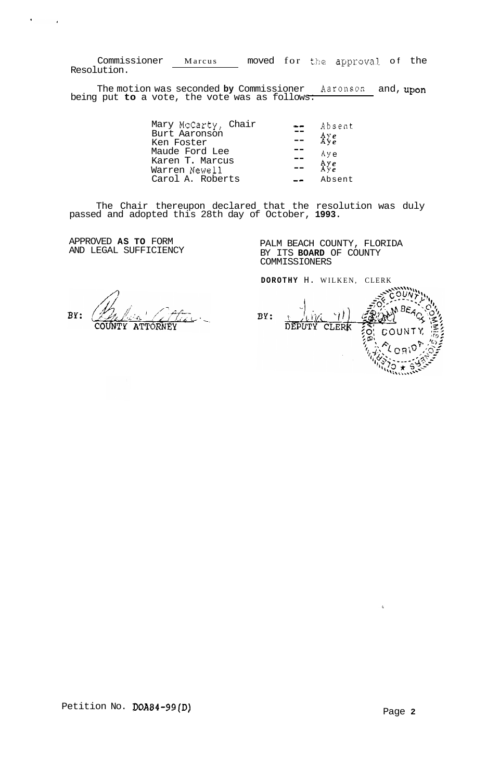Commissioner Marcus moved for **the** approval of the Resolution.

The motion was seconded **by** Commissioner Aaronson and, upon being put **to** a vote, the vote was as follows:

| Mary McCarty, Chair |    | Absent            |
|---------------------|----|-------------------|
| Burt Aaronson       |    | $A \vee e$<br>Aye |
| Ken Foster          |    |                   |
| Maude Ford Lee      |    | Aye               |
| Karen T. Marcus     |    |                   |
| Warren Newell       | -- | $A \vee e$        |
| Carol A. Roberts    |    | Absent            |

The Chair thereupon declared that the resolution was duly passed and adopted this 28th day of October, **1993.** 

APPROVED **AS TO** FORM AND LEGAL SUFFICIENCY

 $\mathbf{q} = \mathbf{q}$ 

 $\sim$   $\sim$ 

PALM BEACH COUNTY, FLORIDA BY ITS **BOARD** OF COUNTY COMMISSIONERS

BY: ATTORNEY COUNTY

**DOROTHY** H. WILKEN, CLERK BY:  $\mathcal{U}$ DEPUTY CLERK COUNT O

 $\rm _{2}^{\prime}$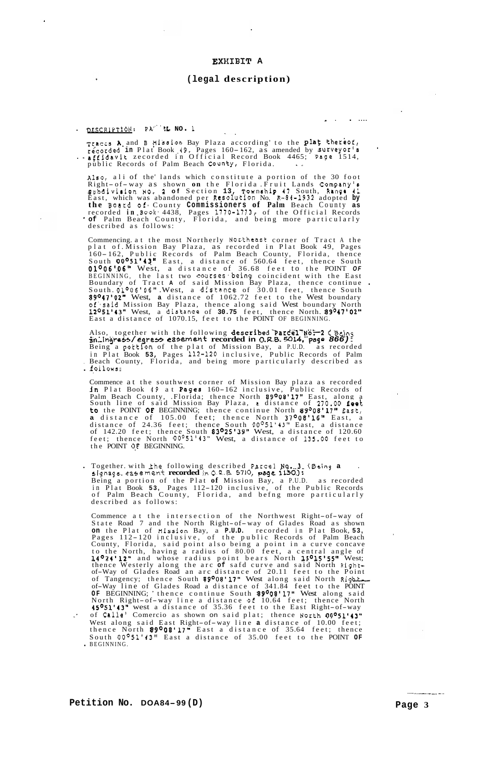## **EXXIBIT A**

#### **(legal description)**

- . . ....

# . DESCRIPTION: PX' ' **:L NO.** 1 ,.

Tracts **A** and **B** *Hission* Bay Plaza according to the **plat** thereof, ...<br>recorded in Plat Book 49, Pages 160-162, as amended by surveyor's ... affidavit zecorded in Official Record Book 4465; Page 1514, public Records of Palm Beach County, Florida.

Also, ali of the lands which constitute a portion of the 30 foot also, all of the lands which constitute a portion of the 50 foot<br>Right- of-way as shown **on** the Florida Fruit Lands Company's<br>gubdivision **NO. 2 of** Section 13, Township 47 South, Range 41 East, which was abandoned per Resolution No. R-84-1932 adopted **by the Board of.** County **Commissioners of Palm** Beach County **as**  recorded **in** .Book. 4438, Pages 1770-1773, of the Official Records \* **of** Palm Beach County, Florida, and being more particularly described as follows:

Commencing. at the most Northerly Nor.theast corner of Tract A the plat of Mission Bay Plaza, as recorded in Plat Book 49, Pages<br>160-162, Public Records of Palm Beach County, Florida, thence<br>South 00°51'43" East, a distance of 560.64 feet, thence South 0l006'.O6'' West, a distance of 36.68 feet to the POINT *OF*  BEGINNING, the last two **courses being** coincident with the East<br>Boundary of Tract **A** of said Mission Bay Plaza, thence continue .<br>South.01°06'06" .West, a distance of 30.01 feet, thence South 89°47'02" West, **a** distance of 1062.72 feet to the West boundary of'.said Mission Bay Plaza, thence along said West boundary North 12°51'43" West, a dist,ance of **30.75** feet, thence North. 89°47'02" East a distance of 1070.15, feet to the POINT OF BEGINNING.

Also, together with the following **described parcel No. 2 (Being**<br>**an.ingress/egress easement recorded in O.R.B. 5014, page 866):**<br>Being a pottion of the plat of Mission Bay, a P.U.D. as recorded in Plat Book **53,** Pages 112-120 inclusive, Public Records of Palm . Beach County, Florida, and being more particularly described as <br>• follows:

Commence at the southwest corner of Mission Bay plaza as recorded **in** Plat Book *49* at Pages 160-162 inclusive, Public Records of Palm Beach County, .Florida; thence North 89°08'17" East, along a South line of said Mission Bay Plaza, a distance of 270.00 feet to the POINT **OF** BEGINNING; thence continue North 89O08'17" East, **a** distance of 105.00 feet; thence North **37°08'16"** East, a distance of 24.36 feet; thence South 00°51'43" East, a distance of 142.20 feet; thence South 83°25'39" West, a distance of 120.60 feet; thence North 00°51'43" West, a distance of 135.00 feet to the POINT **0,F** BEGINNING.

. Together. with Ihe following described Parcel **.Na...3. (Being a** . **signage.** easement **recorded inO.R.6. 5710, page 1130.):**  Being a portion of the Plat **of** Mission Bay, a P.U.D. as recorded in Plat Book **53,** Pages 112-120 inclusive, of the Public Records of Palm Beach County, Florida, and befng more particularly described as follows:

Commence at the intersection of the Northwest Right-of-way of Commence at the intersection of the Northwest Right-of-way of<br>State Road 7 and the North Right-of-way of Glades Road as shown **on** the Plat of **Hission** Bay, a **P.U.D.** recorded in Plat Book, **53,**  Pages 112- 120 inclusive, of the public Records of Palm Beach County, Florida, said point also being a point in a curve concave to the North, having a radius of 80.00 feet, a central angle of 14°24'12" and whose radius point bears North 15°15'55" West; thence Westerly along the arc **of** safd curve and said North Right-of-Way of Glades Road an arc distance of 20.11 feet to the Point of Tangency; thence South 89°08'17" West along said North Rigbt-of-Way line of Glades Road a distance of 341.84 feet to the POINT **OF BEGINNING;** thence continue South **89°08'17"** West along said North Right- of-way line a distance of 10.64 feet; thence North North Right-of-way line a distance of 10.64 feet; thence North<br>**45<sup>0</sup>51'43"** west a distance of 35.36 feet to the East Right-of-way of BEGINNING; thence continue South 89°08'17" West along said<br>North Right-of-way line a distance of 10.64 feet; thence North<br>45°51'43" west a distance of 35.36 feet to the East Right-of-way<br>of Calle' Comercio as shown on s South OO051'43'' East a distance of 35.00 feet to the POINT **OF** . BEGINNING.

-- -.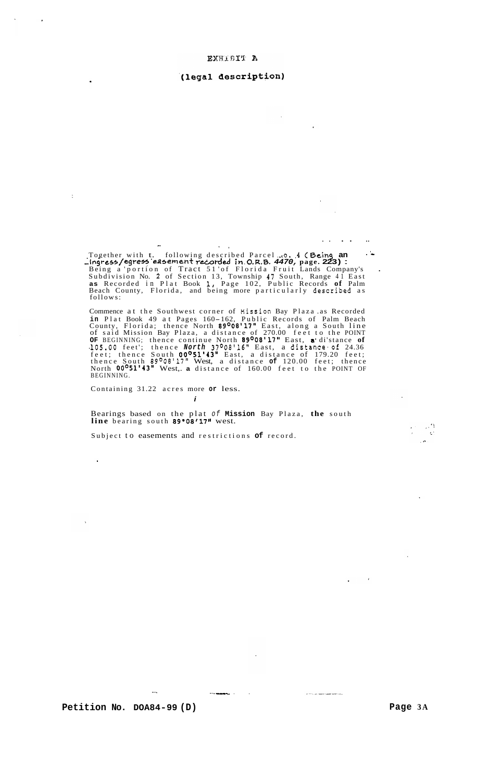### (legal description)

.. .. .. **I**  .. Together with t. following described Parcel **..co. .4** ( **Being an** .' Being a 'portion of Tract 51 'of Florida Fruit Lands Company's . Subdivision No. **2** of Section 13, Township 47 South, Range 41 East **as** Recorded in Plat Book I, Page 102, Public Records **of** Palm Beach County, Florida, and being more particularly described as follows: **~Ingrt~a/egrefn 'earsement rceOrded in .O.R.B.** *4470,* **page. 223)** : -

Commence at the Southwest corner of **Mission** Bay Plaza .as Recorded **in** Plat Book 49 at Pages 160-162, Public Records of Palm Beach County, Florida; thence North **89°08'17"** East, along a South line of said Mission Bay Plaza, a distance of 270.00 feet to the POINT **OF** BEGINNING; thence continue North 89°08'17" East, a\* di'stance **of 105.00** feet'; thence *North* 37008'16" East, a distance of 24.36 feet; thence South 00°51'43" East, a distance of 179.20 feet; thence South 89O08'17" West, a distance **of** 120.00 feet; thence North 00°f1'43" West,. **a** distance of 160.00 feet to the POINT OF BEGINNING.

Containing 31.22 acres more **or** less.

 $\frac{1}{2}$ 

 $\ddot{\phantom{1}}$ 

Bearings based on the plat *of* **Mission** Bay Plaza, **the** south **line** bearing south 89°08t17" west.

Subject to easements and restrictions **of** record.

~. . .

*i* 

Petition No. DOA84-99 (D) Page 3A

 $\hat{H}$  and  $\hat{H}$  are the contract of the contract of  $\hat{H}$  ,  $\hat{H}$ 

 $\sim$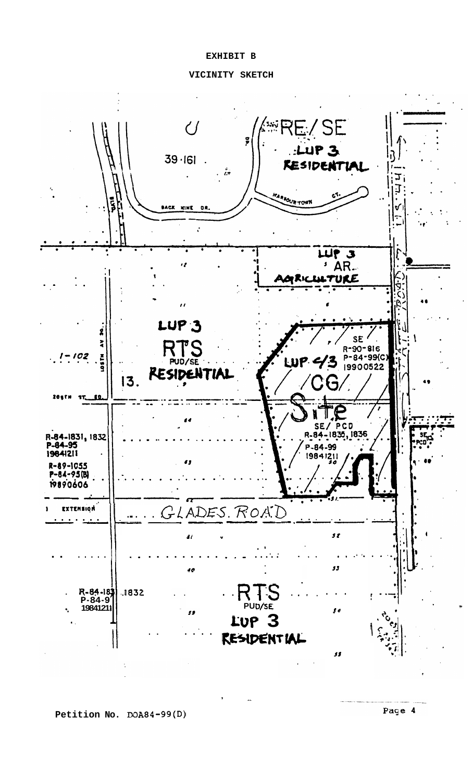## **EXHIBIT B**



,  $\frac{1}{2}$ 

**Petition No. DOA84-99(D)** 

Page 4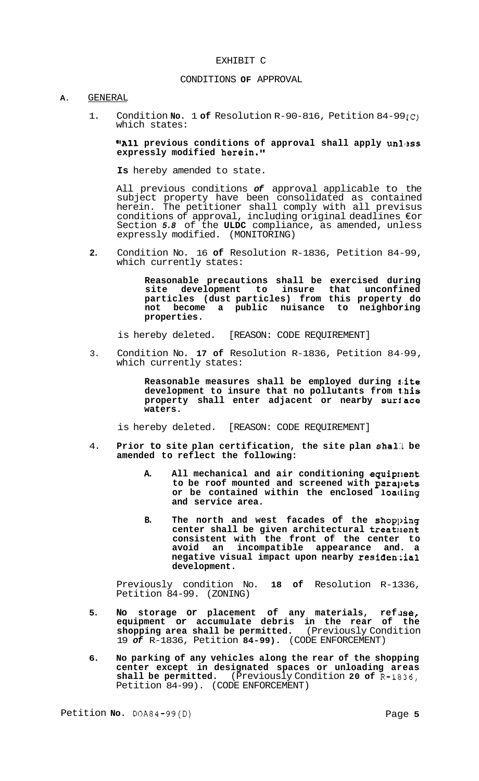## EXHIBIT C

#### CONDITIONS **OF** APPROVAL

# **A.** GENERAL

1. Condition **No.** 1 **of** Resolution R-90-816, Petition 84-99 (c) which states:

## **"All previous conditions of approval shall apply unless expressly modified herein."**

**Is** hereby amended to state.

All previous conditions *of* approval applicable to the subject property have been consolidated as contained herein. The petitioner shall comply with all previsus conditions of approval, including original deadlines €or Section *5.8* of the **ULDC** compliance, as amended, unless expressly modified. (MONITORING)

**2.** Condition No. 16 **of** Resolution R-1836, Petition 84-99, which currently states:

> **Reasonable precautions shall be exercised during site development to insure that unconfined particles (dust particles) from this property do not become a public nuisance to neighboring properties.**

is hereby deleted. [REASON: CODE REQUIREMENT]

3. Condition No. **17 of** Resolution R-1836, Petition 84-99, which currently states:

> **Reasonable measures shall be employed during s'ite development to insure that no pollutants from t,his property shall enter adjacent or nearby suri'ace waters.**

is hereby deleted. [REASON: CODE REQUIREMENT]

- 4. **Prior to site plan certification, the site plan sha1:l be amended to reflect the following:** 
	- **A. All mechanical and air conditioning equiprlent to be roof mounted and screened with para],ets**  or be contained within the enclosed loading **and service area.**
	- **B. The north and west facades of the shop],ing**  center shall be given architectural treatment **consistent with the front of the center to avoid an incompatible appearance and. a**  negative visual impact upon nearby residential **development.**

Previously condition No. **18 of** Resolution R-1336, Petition 84-99. (ZONING)

- 5. No storage or placement of any materials, refuse, **equipment or accumulate debris in the rear of the shopping area shall be permitted.** (Previously Condition 19 *of* R-1836, Petition **84-99).** (CODE ENFORCEMENT)
- **6. No parking of any vehicles along the rear of the shopping center except in designated spaces or unloading areas shall be permitted.** (Previously Condition **20 of** R-1836, Petition 84-99). (CODE ENFORCEMENT)

Petition **No.**  $DOA84-99(D)$  Page 5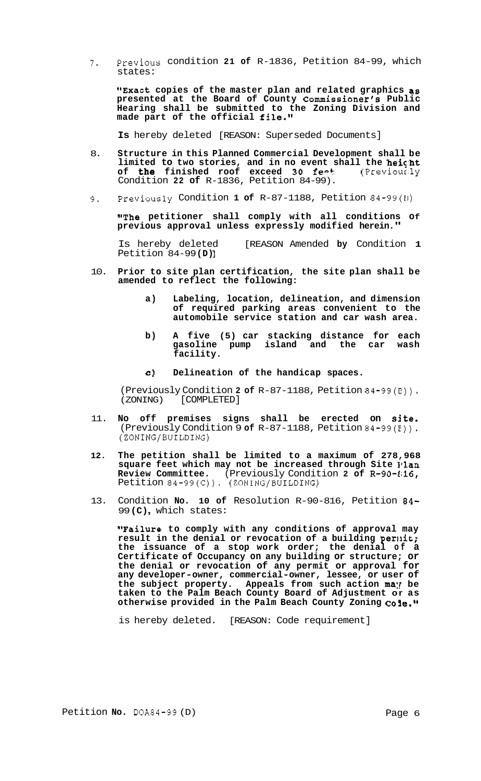**7.** previous condition **21 of** R-1836, Petition 84-99, which states:

**"Exact copies of the master plan and related graphics as presented at the Board of County Commissioner's Public Hearing shall be submitted to the Zoning Division and made part of the official file."** 

**Is** hereby deleted [REASON: Superseded Documents]

- 8. **Structure in this Planned Commercial Development shall be**  limited to two stories, and in no event shall the **heicht of the finished roof exceed SO fee+** (Previoussly Condition **22 of** R-1836, Petition 84-99).
- 9. Previously Condition **1 of** R-87-1188, Petition 84-99(El)

**"The petitioner shall comply with all conditions Of previous approval unless expressly modified herein."** 

Is hereby deleted [REASON Amended **by** Condition **1**  Petition 84-99 **(D)** ]

- 10. **Prior to site plan certification, the site plan shall be amended to reflect the following:** 
	- **a) Labeling, location, delineation, and dimension of required parking areas convenient to the automobile service station and car wash area.**
	- **b) A five (5) car stacking distance for each gasoline pump island and the car wash facility.**
	- *e)* **Delineation of the handicap spaces.**

(Previously Condition **2 of** R-87-1188, Petition 84-99(E)). (ZONING) [COMPLETED]

- 11. **No off premises signs shall be erected on site.**  (Previously Condition 9 **of** R-87-1188, Petition 84-99(E)). (ZONING/BUILDING)
- **12. The petition shall be limited to a maximum of 278,968 square feet which may not be increased through Site Illan Review Committee.** (Previously Condition **2 of** R-90-Ei16, Petition 84-99(C)). (ZONING/BUILDING)
- 13. Condition **No. 10 of** Resolution R-90-816, Petition **84-**  <sup>99</sup>**(C)** , which states:

**"Failure to comply with any conditions of approval may**  result in the denial or revocation of a building permit; **the issuance of a stop work order; the denial of a Certificate of Occupancy on any building or structure; or the denial or revocation of any permit or approval for any developer-owner, commercial-owner, lessee, or user of**  the subject property. Appeals from such action may be **taken to the Palm Beach County Board of Adjustment or as otherwise provided in the Palm Beach County Zoning** 

is hereby deleted. [REASON: Code requirement]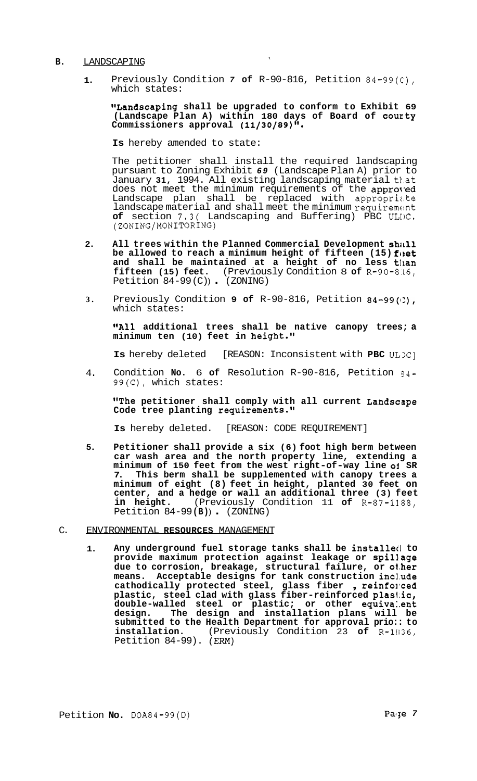#### **B.** LANDSCAPING

**1.**  Previously Condition *7* **of** R-90-816, Petition 84-99(c), which states:

**"Landscaping shall be upgraded to conform to Exhibit 69 (Landscape Plan A) within 180 days of Board of coucty Commissioners approval (11/30/89)''.** 

**Is** hereby amended to state:

The petitioner shall install the required landscaping pursuant to Zoning Exhibit *69* (Landscape Plan A) prior to January 31, 1994. All existing landscaping material that does not meet the minimum requirements of the approved Landscape plan shall be replaced with appropriate landscape material and shall meet the minimum requirement **of** section 7.3( Landscaping and Buffering) PBC ULIC. (ZONING/MONITORING)

- **2. All trees within the Planned Commercial Development shill1**  be allowed to reach a minimum height of fifteen (15) feet **and shall be maintained at a height of no less tlian fifteen (15) feet.** (Previously Condition 8 **of** R-90-8.L6, Petition  $84-99$  (C)) (ZONING)
- **3.**  Previously Condition **9 of** R-90-816, Petition 84-99(1:), which states:

**"All additional trees shall be native canopy trees; a minimum ten (10) feet in height."** 

**Is** hereby deleted [REASON: Inconsistent with **PBC**  $UL)C$ ]

4. Condition **No.** 6 **of** Resolution R-90-816, Petition 34- 99(C), which states:

**"The petitioner shall comply with all current Landscape Code tree planting requirements."** 

**Is** hereby deleted. [REASON: CODE REQUIREMENT]

**5. Petitioner shall provide a six (6) foot high berm between car wash area and the north property line, extending a minimum of 150 feet from the west right-of-way line oi SR 7. This berm shall be supplemented with canopy trees a minimum of eight (8) feet in height, planted 30 feet on center, and a hedge or wall an additional three (3) feet in height.** (Previously Condition 11 **of** R-87-1188, Petition 84-99 **(B)** ) . (ZONING)

#### C. ENVIRONMENTAL **RESOURCES** MANAGEMENT

1. Any underground fuel storage tanks shall be installed to **provide maximum protection against leakage or spillage due to corrosion, breakage, structural failure, or ol.her**  means. Acceptable designs for tank construction include<br>cathodically protected steel, glass fiber, reinforced cathodically protected steel, glass fiber, reinforced plastic, steel clad with glass fiber-reinforced plastic, **double-walled steel or plastic; or other equiva:.ent design. The design and installation plans will be**  submitted to the Health Department for approval prio:: to installation. (Previously Condition 23 of R-1836, **installation.** (Previously Condition 23 **of** R-11136, Petition 84-99). (Em)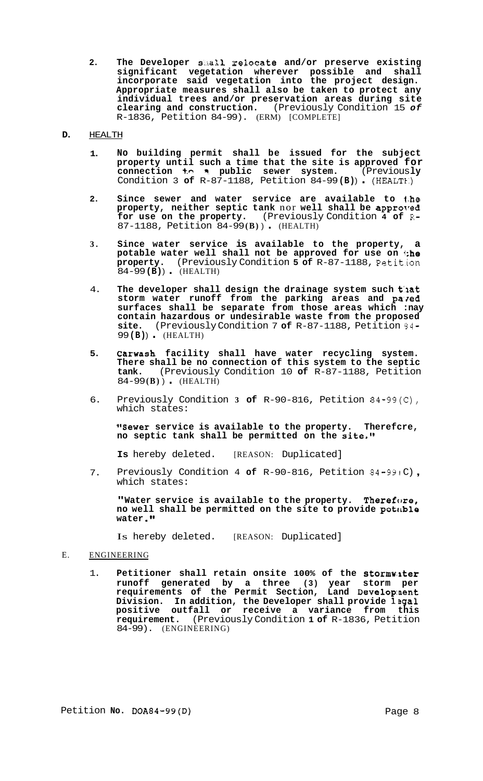**2. The Developer s.ha32. relocate and/or preserve existing significant vegetation wherever possible and shall incorporate said vegetation into the project design. Appropriate measures shall also be taken to protect any individual trees and/or preservation areas during site clearing and construction.** (Previously Condition 15 *of*  R-1836, Petition 84-99). (ERM) [COMPLETE]

### **D.** HEALTH

- **1. No building permit shall be issued for the subject property until such a time that the site is approved for connection +.e n public sewer system.** (Previous **ly**  Condition 3 **of** R-87-1188, Petition 84-99 **(B)** ) . (HEALT€:)
- **2. Since sewer and water service are available to l.he**  property, neither septic tank nor well shall be approved **for use on the property.** (Previously Condition **4 of R-**87-1188, Petition 84-99 **(B)** ) . (HEALTH)
- **3. Since water service is available to the property, a potable water well shall not be approved for use on (;he property.** (Previously Condition **5 of** R-87-1188, Petition 84-99 **(B)** ) . (HEALTH)
- 4. **The developer shall design the drainage system such t'lat**  storm water runoff from the parking areas and paved **surfaces shall be separate from those areas which :nay contain hazardous or undesirable waste from the proposed site.** (Previously Condition 7 **of** R-87-1188, Petition 34- <sup>99</sup>**(B)** ) . (HEALTH)
- **5. Carwash facility shall have water recycling system. There shall be no connection of this system to the septic tank.** (Previously Condition 10 **of** R-87-1188, Petition 84-99 **(B)** ) . (HEALTH)
- 6. Previously Condition **3 of** R-90-816, Petition 84-99(C), which states:

**"Sewer service is available to the property. Therefcre, no septic tank shall be permitted on the site."** 

**Is** hereby deleted. [REASON: Duplicated]

7. Previously Condition 4 **of** R-90-816, Petition 84-991C), which states:

"Water service is available to the property. Therefore, **no well shall be permitted on the site to provide potirble water .)I** 

Is hereby deleted. [REASON: Duplicated]

## E. ENGINEERING

1. **Petitioner shall retain onsite 100% of the stormw,iter runoff generated by a three (3) year storm per requirements of the Permit Section, Land Deve1op:nent Division. In addition, the Developer shall provide l3gal positive outfall or receive a variance from this requirement.** (Previously Condition **1 of** R-1836, Petition 84-99). (ENGINEERING)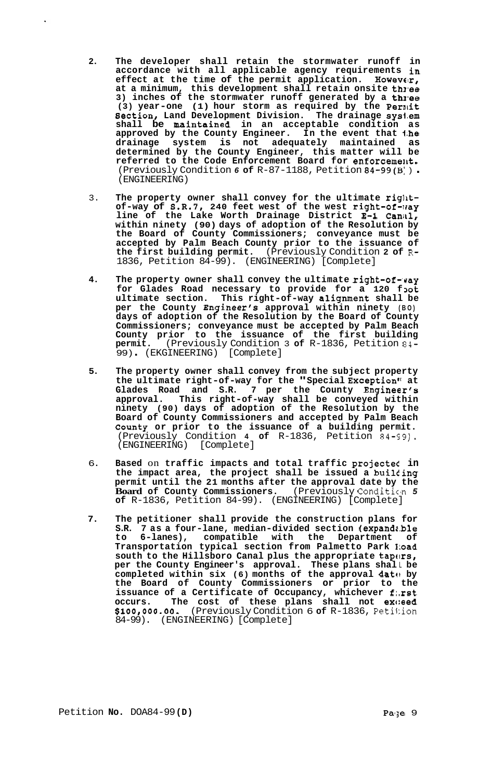- **2. The developer shall retain the stormwater runoff in accordance with all applicable agency requirements in effect at the time of the permit application. Howevex, at a minimum, this development shall retain onsite thl-ee 3) inches of the stormwater runoff generated by a thl-ee**  (3) year-one (1) hour storm as required by the Permit **Bection, Land Development Division. The drainage sysl.em**  shall be maintained in an acceptable condition **approved by the County Engineer. In the event that 1;he drainage system is not adequately maintained as determined by the County Engineer, this matter will be**  referred to the Code Enforcement Board for enforcement. (Previously Condition *6* **of** R-87-1188, Petition 84-99(B: ) . (ENGINEERING)
- 3. The property owner shall convey for the ultimate right**of-way of S.R.7, 240 feet west of the west right-of-1ray line of the Lake Worth Drainage District E-1 Canill, within ninety (90) days of adoption of the Resolution by the Board of County Commissioners; conveyance must be accepted by Palm Beach County prior to the issuance of the first building permit.** (Previously Condition **2 of** R-1836, Petition 84-99). (ENGINEERING) [Complete]
- **4.** The property owner shall convey the ultimate right-of-way for Glades Road necessary to provide for a 120 foot **ultimate section. This right-of-way alignment shall be per the County Engineer's approval within ninety (BO) days of adoption of the Resolution by the Board of County Commissioners; conveyance must be accepted by Palm Beach County prior to the issuance of the first building permit.** (Previously Condition 3 **of** R-1836, Petition 84- 99) . (EKGINEERING) [Complete]
- **5. The property owner shall convey from the subject property the ultimate right-of-way for the "Special Exception'' at Glades Road and S.R. 7 per the County Engineer's approval. This right-of-way shall be conveyed within ninety (90) days of adoption of the Resolution by the Board of County Commissioners and accepted by Palm Beach County or prior to the issuance of a building permit.**  (Previously Condition **4 of** R-1836, Petition 84-59). (ENGINEERING) [Complete]
- 6. **Based** on **traffic impacts and total traffic projected in**  the impact area, the project shall be issued a building **permit until the 21 months after the approval date by the Board of County Commissioners.** (Previously Condition 5 **of** R-1836, Petition 84-99). (ENGINEERING) [Complete]
- **7. The petitioner shall provide the construction plans for S.R. 7 as a four-lane, median-divided section (expandr.ble to 6-lanes), compatible with the Department of Transportation typical section from Palmetto Park I:oad**  south to the Hillsboro Canal plus the appropriate tapers, **per the County Engineer's approval. These plans shal** L **be**  completed within six (6) months of the approval date by **the Board of County Commissioners or prior to the issuance of a Certificate of Occupancy, whichever f:.rst occurs. The cost of these plans shall not exc:eed \$100,000.00.** (Previously Condition 6 **of** R-1836, Peti1:ion 84-99). (ENGINEERING) [Complete]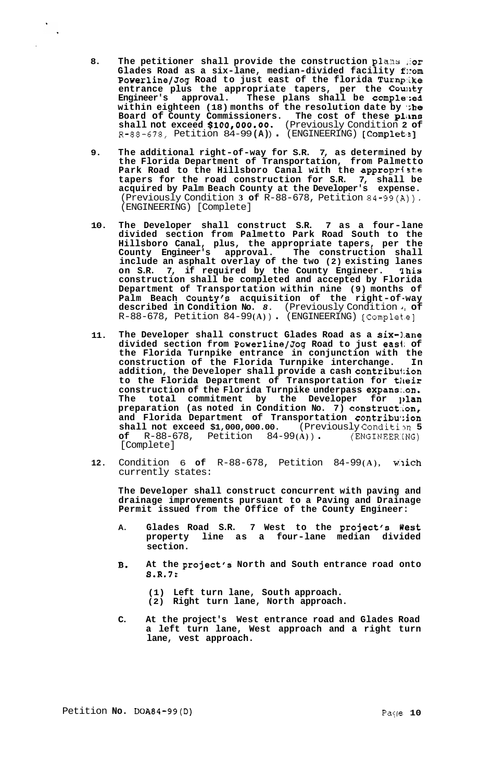- **8. The petitioner shall provide the construction plans ,:or**  Glades Road as a six-lane, median-divided facility fnom **PowerlinejJog Road to just east of the florida Turnp:ike**  entrance plus the appropriate tapers, per the County **Engineer's approval. These plans shall be comple\*;ed**  within eighteen (18) months of the resolution date by **the Board of County Commissioners. The cost of these plikns shall not exceed \$100,000.00.** (Previously Condition **2 of**  R-88-678, Petition 84-99 **(A)** ) . (ENGINEERING) [Complet~2]
- **9. The additional right-of-way for S.R. 7, as determined by the Florida Department of Transportation, from Palmetto**  Park Road to the Hillsboro Canal with the appropriate **tapers for the road construction for S.R. 7, shall be acquired by Palm Beach County at the Developer's expense.**  (Previously Condition **3 of** R-88-678, Petition 84-99(A)). (ENGINEERING) [Complete]
- **10. The Developer shall construct S.R. 7 as a four-lane divided section from Palmetto Park Road South to the Hillsboro Canal, plus, the appropriate tapers, per the County Engineer's approval. The construction shall include an asphalt overlay of the two (2) existing lanes on S.R. 7, if required by the County Engineer. qhis construction shall be completed and accepted by Florida Department of Transportation within nine (9) months of Palm Beach County's acquisition of the right-of-way described in Condition No.** *8.* (Previously Condition *1:* **of**  R-88-678, Petition 84-99 **(A)** ) . (ENGINEERING) [Complet.e]
- **11. The Developer shall construct Glades Road as a six-1.ane divided section from PowerlinejJog Road to just easl; of the Florida Turnpike entrance in conjunction with the construction of the Florida Turnpike interchange. In addition, the Developer shall provide a cash contribu1:ion to the Florida Department of Transportation for tlieir construction of the Florida Turnpike underpass expans:.on.**  The total commitment by the Developer for plan **preparation (as noted in Condition No. 7) construct:lon,**  and Florida Department of Transportation contribution<br>shall not exceed \$1,000,000.00. (Previously Condition 5 **shall not exceed \$1,000,000.00.** (Previously Condition 5<br>
of R-88-678, Petition 84-99(A)). (ENGINEERING) **of** R-88-678, Petition 84-99(A)) [Complete]
- **12.** Condition 6 **of** R-88-678, Petition 84-99 **(A),** w:lich currently states:

**The Developer shall construct concurrent with paving and drainage improvements pursuant to a Paving and Drainage Permit issued from the Office of the County Engineer:** 

- **A. Glades Road S.R. 7 West to the project's West property line as a four-lane median divided section.**
- **B. At the project's North and South entrance road onto S.R.7:** 
	- **(1) Left turn lane, South approach.**
	- **(2) Right turn lane, North approach.**
- **C. At the project's West entrance road and Glades Road a left turn lane, West approach and a right turn lane, vest approach.**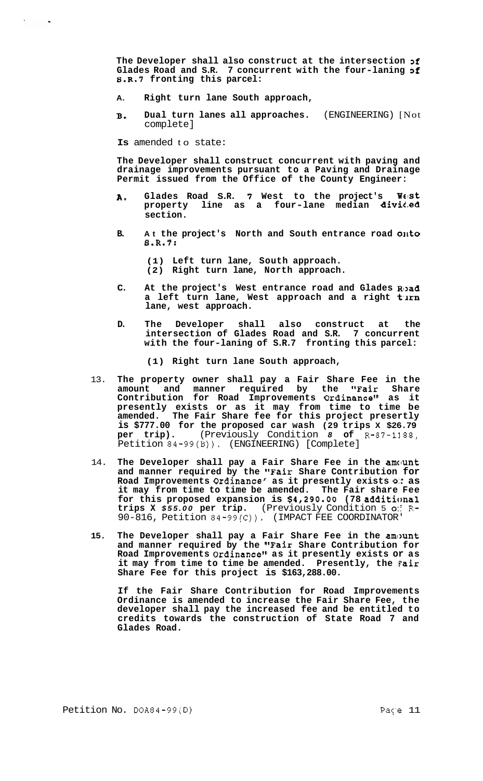**The Developer shall also construct at the intersection 3f**  Glades Road and S.R. 7 concurrent with the four-laning of **S.R.7 fronting this parcel:** 

- **A. Right turn lane South approach,**
- **B. Dual turn lanes all approaches.** (ENGINEERING) [Not complete]

**Is** amended to state:

**The Developer shall construct concurrent with paving and drainage improvements pursuant to a Paving and Drainage Permit issued from the Office of the County Engineer:** 

- **A. Glades Road S.R. 7 West to the project's** West **property line as a four-lane median dividbed section.**
- **B.** At the project's North and South entrance road onto **S.R.7:**

**(1) Left turn lane, South approach. (2) Right turn lane, North approach.** 

- C. At the project's West entrance road and Glades Road a left turn lane, West approach and a right turn **lane, west approach.**
- **D. The Developer shall also construct at the intersection of Glades Road and S.R. 7 concurrent with the four-laning of S.R.7 fronting this parcel:**

**(1) Right turn lane South approach,** 

- 13. **The property owner shall pay a Fair Share Fee in the amount and manner required by the "Fair Share Contribution for Road Improvements Ordinance" as it presently exists or as it may from time to time be amended. The Fair Share fee for this project presertly is \$777.00 for the proposed car wash (29 trips X \$26.79 per trip). (Previously Condition 8 of R-87-1188, per trip).** (Previously Condition *8* **of** R-87-1188, Petition 84-99(B)). (ENGINEERING) [Complete]
- 14. The Developer shall pay a Fair Share Fee in the amount **and manner required by the "Fair Share Contribution for Road Improvements Ordinance' as it presently exists** *0::* **as it may from time to time be amended. The Fair share Fee for this proposed expansion is \$4,290.00 (78 additional trips X** *\$55.00* **per trip.** (Previously Condition 5 *0::* **R-**90-816, Petition 84-99(C)). (IMPACT FEE COORDINATOR'
- **15. The Developer shall pay a Fair Share Fee in the amc>unt and manner required by the "Fair Share Contribution for Road Improvements Ordinance" as it presently exists or as it may from time to time be amended. Presently, the 'Fair Share Fee for this project is \$163,288.00.**

**If the Fair Share Contribution for Road Improvements Ordinance is amended to increase the Fair Share Fee, the developer shall pay the increased fee and be entitled to credits towards the construction of State Road 7 and Glades Road.**